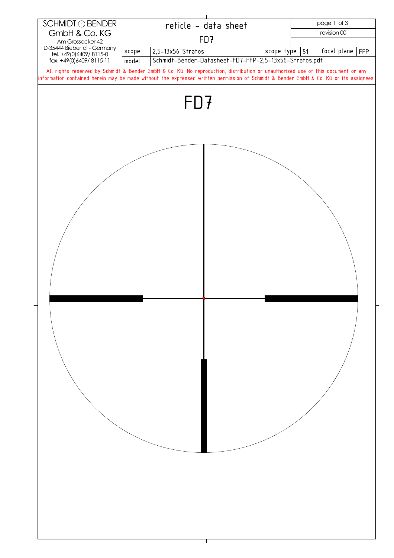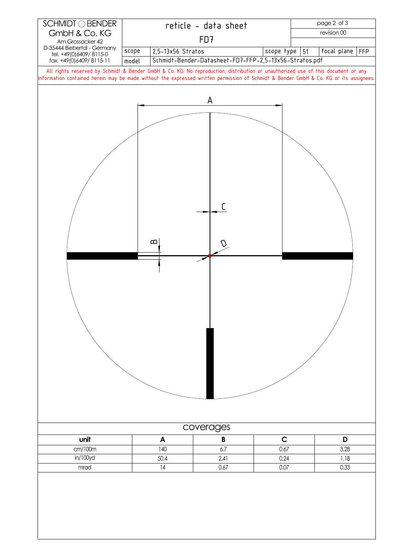